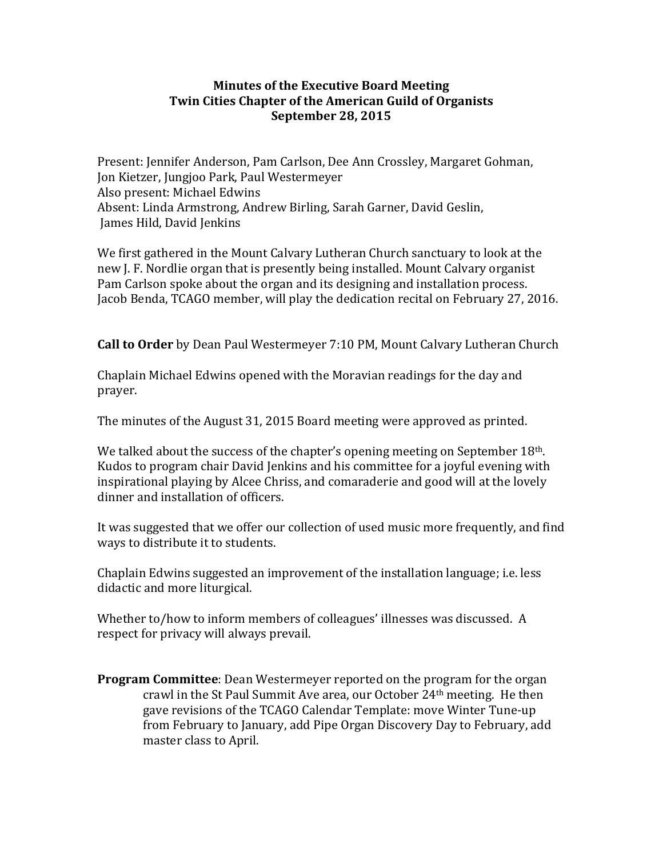# **Minutes of the Executive Board Meeting Twin Cities Chapter of the American Guild of Organists September 28, 2015**

Present: Jennifer Anderson, Pam Carlson, Dee Ann Crossley, Margaret Gohman, Jon Kietzer, Jungjoo Park, Paul Westermeyer Also present: Michael Edwins Absent: Linda Armstrong, Andrew Birling, Sarah Garner, David Geslin, James Hild, David Jenkins

We first gathered in the Mount Calvary Lutheran Church sanctuary to look at the new J. F. Nordlie organ that is presently being installed. Mount Calvary organist Pam Carlson spoke about the organ and its designing and installation process. Jacob Benda, TCAGO member, will play the dedication recital on February 27, 2016.

**Call to Order** by Dean Paul Westermeyer 7:10 PM, Mount Calvary Lutheran Church

Chaplain Michael Edwins opened with the Moravian readings for the day and prayer. 

The minutes of the August 31, 2015 Board meeting were approved as printed.

We talked about the success of the chapter's opening meeting on September  $18<sup>th</sup>$ . Kudos to program chair David Jenkins and his committee for a joyful evening with inspirational playing by Alcee Chriss, and comaraderie and good will at the lovely dinner and installation of officers.

It was suggested that we offer our collection of used music more frequently, and find ways to distribute it to students.

Chaplain Edwins suggested an improvement of the installation language; i.e. less didactic and more liturgical.

Whether to/how to inform members of colleagues' illnesses was discussed. A respect for privacy will always prevail.

**Program Committee**: Dean Westermeyer reported on the program for the organ crawl in the St Paul Summit Ave area, our October  $24<sup>th</sup>$  meeting. He then gave revisions of the TCAGO Calendar Template: move Winter Tune-up from February to January, add Pipe Organ Discovery Day to February, add master class to April.